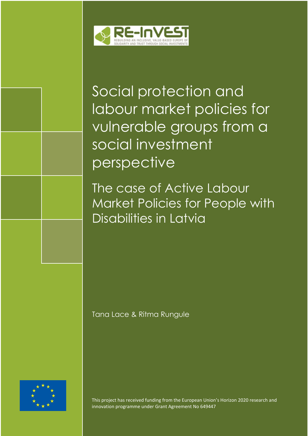

Social protection and labour market policies for vulnerable groups from a social investment perspective

The case of Active Labour Market Policies for People with Disabilities in Latvia

Tana Lace & Ritma Rungule



This project has received funding from the European Union's Horizon 2020 research and innovation programme under Grant Agreement No 649447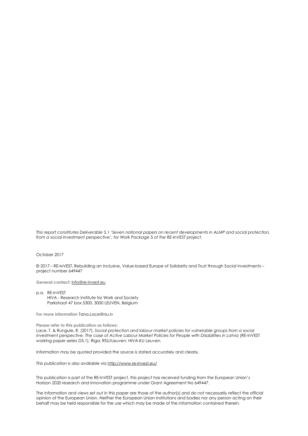*This report constitutes Deliverable 5.1 'Seven national papers on recent developments in ALMP and social protection, from a social investment perspective*'*, for Work Package* 5 *of the RE-InVEST project.*

#### October 2017

© 2017 – RE-INVEST, Rebuilding an Inclusive, Value-based Europe of Solidarity and Trust through Social Investments – project number 649447

**General contact:** [info@re-invest.eu](mailto:info@re-invest.eu)

p.a. RE-InVEST HIVA - Research Institute for Work and Society Parkstraat 47 box 5300, 3000 LEUVEN, Belgium

**For more information** Tana.Lace@rsu.lv

**Please refer to this publication as follows:**

Lace, T. & Rungule, R. (2017). *Social protection and labour market policies for vulnerable groups from a social investment perspective. The case of Active Labour Market Policies for People with Disabilities in Latvia* (RE-InVEST working paper series D5.1). Riga: RSU/Leuven: HIVA-KU Leuven.

Information may be quoted provided the source is stated accurately and clearly.

This publication is also available via<http://www.re-invest.eu/>

This publication is part of the RE-InVEST project, this project has received funding from the European Union's Horizon 2020 research and innovation programme under Grant Agreement No 649447.

The information and views set out in this paper are those of the author(s) and do not necessarily reflect the official opinion of the European Union. Neither the European Union institutions and bodies nor any person acting on their behalf may be held responsible for the use which may be made of the information contained therein.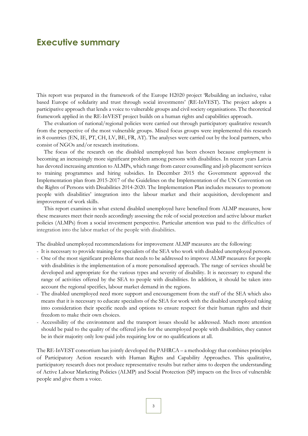## **Executive summary**

This report was prepared in the framework of the Europe H2020 project 'Rebuilding an inclusive, value based Europe of solidarity and trust through social investments' (RE-InVEST). The project adopts a participative approach that lends a voice to vulnerable groups and civil society organisations. The theoretical framework applied in the RE-InVEST project builds on a human rights and capabilities approach.

The evaluation of national/regional policies were carried out through participatory qualitative research from the perspective of the most vulnerable groups. Mixed focus groups were implemented this research in 8 countries (EN, IE, PT, CH, LV, BE, FR, AT). The analyses were carried out by the local partners, who consist of NGOs and/or research institutions.

The focus of the research on the disabled unemployed has been chosen because employment is becoming an increasingly more significant problem among persons with disabilities. In recent years Latvia has devoted increasing attention to ALMPs, which range from career counselling and job placement services to training programmes and hiring subsidies. In December 2015 the Government approved the Implementation plan from 2015-2017 of the Guidelines on the Implementation of the UN Convention on the Rights of Persons with Disabilities 2014-2020. The Implementation Plan includes measures to promote people with disabilities' integration into the labour market and their acquisition, development and improvement of work skills.

This report examines in what extend disabled unemployed have benefited from ALMP measures, how these measures meet their needs accordingly assessing the role of social protection and active labour market policies (ALMPs) from a social investment perspective. Particular attention was paid to the difficulties of integration into the labor market of the people with disabilities.

The disabled unemployed recommendations for improvement ALMP measures are the following:

- It is necessary to provide training for specialists of the SEA who work with disabled unemployed persons.

- One of the most significant problems that needs to be addressed to improve ALMP measures for people with disabilities is the implementation of a more personalised approach. The range of services should be developed and appropriate for the various types and severity of disability. It is necessary to expand the range of activities offered by the SEA to people with disabilities. In addition, it should be taken into account the regional specifics, labour market demand in the regions.
- The disabled unemployed need more support and encouragement from the staff of the SEA which also means that it is necessary to educate specialists of the SEA for work with the disabled unemployed taking into consideration their specific needs and options to ensure respect for their human rights and their freedom to make their own choices.
- Accessibility of the environment and the transport issues should be addressed. Much more attention should be paid to the quality of the offered jobs for the unemployed people with disabilities, they cannot be in their majority only low-paid jobs requiring low or no qualifications at all.

The RE-InVEST consortium has jointly developed the PAHRCA – a methodology that combines principles of Participatory Action research with Human Rights and Capability Approaches. This qualitative, participatory research does not produce representative results but rather aims to deepen the understanding of Active Labour Marketing Policies (ALMP) and Social Protection (SP) impacts on the lives of vulnerable people and give them a voice.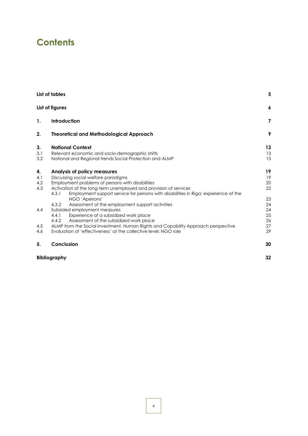# **Contents**

|     | List of tables                                                                                                                                                   |          |  |
|-----|------------------------------------------------------------------------------------------------------------------------------------------------------------------|----------|--|
|     | List of figures                                                                                                                                                  | 6        |  |
| 1.  | Introduction                                                                                                                                                     | 7        |  |
| 2.  | <b>Theoretical and Methodological Approach</b>                                                                                                                   | 9        |  |
| 3.  | <b>National Context</b>                                                                                                                                          | 13       |  |
| 3.1 | Relevant economic and socio-demographic shifts                                                                                                                   | 13       |  |
| 3.2 | National and Regional trends Social Protection and ALMP                                                                                                          | 15       |  |
| 4.  | Analysis of policy measures                                                                                                                                      | 19       |  |
| 4.1 | Discussing social welfare paradigms                                                                                                                              | 19       |  |
| 4.2 | Employment problems of persons with disabilities                                                                                                                 | 20       |  |
| 4.3 | Activation of the long-term unemployed and provision of services<br>Employment support service for persons with disabilities in Riga: experience of the<br>4.3.1 | 22       |  |
|     | NGO 'Apeirons'                                                                                                                                                   | 23       |  |
| 4.4 | 4.3.2<br>Assessment of the employment support activities<br>Subsided employment measures                                                                         | 24<br>24 |  |
|     | 4.4.1<br>Experience of a subsidized work place                                                                                                                   | 25       |  |
|     | Assessment of the subsidized work place<br>4.4.2                                                                                                                 | 26       |  |
| 4.5 | ALMP from the Social Investment, Human Rights and Capability Approach perspective                                                                                | 27       |  |
| 4.6 | Evaluation of 'effectiveness' at the collective level: NGO role                                                                                                  | 29       |  |
| 5.  | Conclusion                                                                                                                                                       | 30       |  |
|     | <b>Bibliography</b>                                                                                                                                              | 32       |  |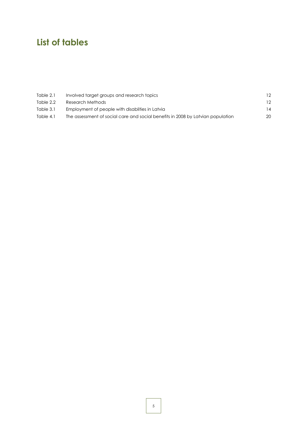# <span id="page-4-0"></span>**List of tables**

| Table 2.1 | Involved target groups and research topics                                      |    |
|-----------|---------------------------------------------------------------------------------|----|
| Table 2.2 | Research Methods                                                                |    |
| Table 3.1 | Employment of people with disabilities in Latvia                                |    |
| Table 4.1 | The assessment of social care and social benefits in 2008 by Latvian population | 20 |
|           |                                                                                 |    |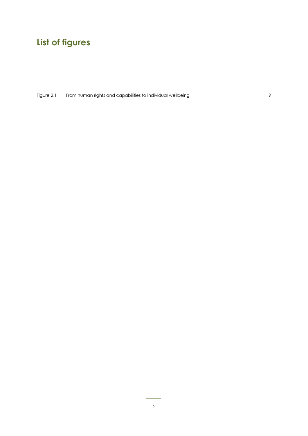# <span id="page-5-0"></span>**List of figures**

Figure 2.1 [From human rights and capabilities to individual wellbeing](#page-8-1) example 2.1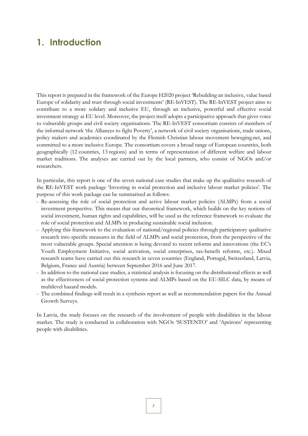## <span id="page-6-0"></span>**1. Introduction**

This report is prepared in the framework of the Europe H2020 project 'Rebuilding an inclusive, value based Europe of solidarity and trust through social investments' (RE-InVEST). The RE-InVEST project aims to contribute to a more solidary and inclusive EU, through an inclusive, powerful and effective social investment strategy at EU level. Moreover, the project itself adopts a participative approach that gives voice to vulnerable groups and civil society organisations. The RE-InVEST consortium consists of members of the informal network 'the Alliances to fight Poverty', a network of civil society organisations, trade unions, policy makers and academics coordinated by the Flemish Christian labour movement beweging.net, and committed to a more inclusive Europe. The consortium covers a broad range of European countries, both geographically (12 countries, 13 regions) and in terms of representation of different welfare and labour market traditions. The analyses are carried out by the local partners, who consist of NGOs and/or researchers.

In particular, this report is one of the seven national case studies that make up the qualitative research of the RE-InVEST work package 'Investing in social protection and inclusive labour market policies'. The purpose of this work package can be summarised as follows:

- Re-assessing the role of social protection and active labour market policies (ALMPs) from a social investment perspective. This means that our theoretical framework, which builds on the key notions of social investment, human rights and capabilities, will be used as the reference framework to evaluate the role of social protection and ALMPs in producing sustainable social inclusion.
- Applying this framework to the evaluation of national/regional policies through participatory qualitative research into specific measures in the field of ALMPs and social protection, from the perspective of the most vulnerable groups. Special attention is being devoted to recent reforms and innovations (the EC's Youth Employment Initiative, social activation, social enterprises, tax-benefit reforms, etc.). Mixed research teams have carried out this research in seven countries (England, Portugal, Switzerland, Latvia, Belgium, France and Austria) between September 2016 and June 2017.
- In addition to the national case studies, a statistical analysis is focusing on the distributional effects as well as the effectiveness of social protection systems and ALMPs based on the EU-SILC data, by means of multilevel hazard models.
- The combined findings will result in a synthesis report as well as recommendation papers for the Annual Growth Surveys.

In Latvia, the study focuses on the research of the involvement of people with disabilities in the labour market. The study is conducted in collaboration with NGOs 'SUSTENTO' and 'Apeirons' representing people with disabilities.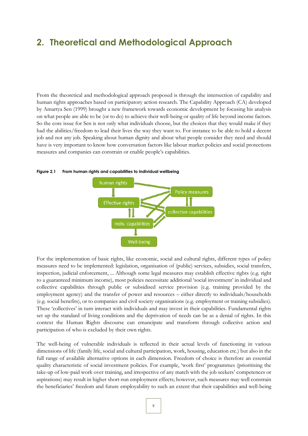## <span id="page-8-0"></span>**2. Theoretical and Methodological Approach**

From the theoretical and methodological approach proposed is through the intersection of capability and human rights approaches based on participatory action research. The Capability Approach (CA) developed by Amartya Sen (1999) brought a new framework towards economic development by focusing his analysis on what people are able to be (or to do) to achieve their well-being or quality of life beyond income factors. So the core issue for Sen is not only what individuals choose, but the choices that they would make if they had the abilities/freedom to lead their lives the way they want to. For instance to be able to hold a decent job and not any job. Speaking about human dignity and about what people consider they need and should have is very important to know how conversation factors like labour market policies and social protections measures and companies can constrain or enable people's capabilities.



<span id="page-8-1"></span>**Figure 2.1 From human rights and capabilities to individual wellbeing**

For the implementation of basic rights, like economic, social and cultural rights, different types of policy measures need to be implemented: legislation, organisation of (public) services, subsidies, social transfers, inspection, judicial enforcement, ... Although some legal measures may establish effective rights (e.g. right to a guaranteed minimum income), most policies necessitate additional 'social investment' in individual and collective capabilities through public or subsidised service provision (e.g. training provided by the employment agency) and the transfer of power and resources – either directly to individuals/households (e.g. social benefits), or to companies and civil society organisations (e.g. employment or training subsidies). These 'collectives' in turn interact with individuals and may invest in their capabilities. Fundamental rights set up the standard of living conditions and the deprivation of needs can be as a denial of rights. In this context the Human Rights discourse can emancipate and transform through collective action and participation of who is excluded by their own rights.

The well-being of vulnerable individuals is reflected in their actual levels of functioning in various dimensions of life (family life, social and cultural participation, work, housing, education etc.) but also in the full range of available alternative options in each dimension. Freedom of choice is therefore an essential quality characteristic of social investment policies. For example, 'work first' programmes (prioritising the take-up of low-paid work over training, and irrespective of any match with the job seekers' competences or aspirations) may result in higher short-run employment effects; however, such measures may well constrain the beneficiaries' freedom and future employability to such an extent that their capabilities and well-being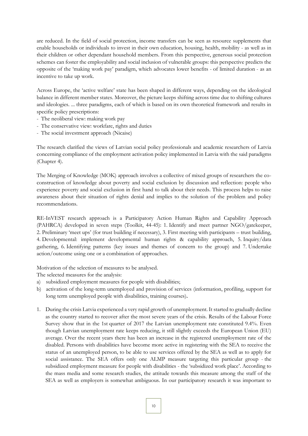are reduced. In the field of social protection, income transfers can be seen as resource supplements that enable households or individuals to invest in their own education, housing, health, mobility - as well as in their children or other dependant household members. From this perspective, generous social protection schemes can foster the employability and social inclusion of vulnerable groups: this perspective predicts the opposite of the 'making work pay' paradigm, which advocates lower benefits - of limited duration - as an incentive to take up work.

Across Europe, the 'active welfare' state has been shaped in different ways, depending on the ideological balance in different member states. Moreover, the picture keeps shifting across time due to shifting cultures and ideologies. ... three paradigms, each of which is based on its own theoretical framework and results in specific policy prescriptions:

- The neoliberal view: making work pay
- The conservative view: workfare, rights and duties
- The social investment approach (Nicaise)

The research clarified the views of Latvian social policy professionals and academic researchers of Latvia concerning compliance of the employment activation policy implemented in Latvia with the said paradigms (Chapter 4).

The Merging of Knowledge (MOK) approach involves a collective of mixed groups of researchers the coconstruction of knowledge about poverty and social exclusion by discussion and reflection: people who experience poverty and social exclusion in first hand to talk about their needs. This process helps to raise awareness about their situation of rights denial and implies to the solution of the problem and policy recommendations.

RE-InVEST research approach is a Participatory Action Human Rights and Capability Approach (PAHRCA) developed in seven steps (Toolkit, 44-45): 1. Identify and meet partner NGO/gatekeeper, 2. Preliminary 'meet ups' (for trust building if necessary), 3. First meeting with participants – trust building, 4. Developmental: implement developmental human rights & capability approach, 5. Inquiry/data gathering, 6. Identifying patterns (key issues and themes of concern to the group) and 7. Undertake action/outcome using one or a combination of approaches.

Motivation of the selection of measures to be analysed.

The selected measures for the analysis:

- a) subsidized employment measures for people with disabilities;
- b) activation of the long-term unemployed and provision of services (information, profiling, support for long term unemployed people with disabilities, training courses)*.*
- 1. During the crisis Latvia experienced a very rapid growth of unemployment. It started to gradually decline as the country started to recover after the most severe years of the crisis. Results of the Labour Force Survey show that in the 1st quarter of 2017 the Latvian unemployment rate constituted 9.4%. Even though Latvian unemployment rate keeps reducing, it still slightly exceeds the European Union (EU) average. Over the recent years there has been an increase in the registered unemployment rate of the disabled. Persons with disabilities have become more active in registering with the SEA to receive the status of an unemployed person, to be able to use services offered by the SEA as well as to apply for social assistance. The SEA offers only one ALMP measure targeting this particular group - the subsidized employment measure for people with disabilities - the 'subsidized work place'. According to the mass media and some research studies, the attitude towards this measure among the staff of the SEA as well as employers is somewhat ambiguous. In our participatory research it was important to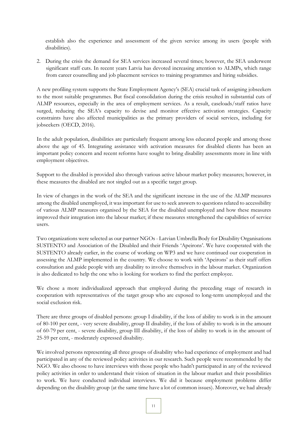establish also the experience and assessment of the given service among its users (people with disabilities).

2. During the crisis the demand for SEA services increased several times; however, the SEA underwent significant staff cuts. In recent years Latvia has devoted increasing attention to ALMPs, which range from career counselling and job placement services to training programmes and hiring subsidies.

A new profiling system supports the State Employment Agency's (SEA) crucial task of assigning jobseekers to the most suitable programmes. But fiscal consolidation during the crisis resulted in substantial cuts of ALMP resources, especially in the area of employment services. As a result, caseloads/staff ratios have surged, reducing the SEA's capacity to devise and monitor effective activation strategies. Capacity constraints have also affected municipalities as the primary providers of social services, including for jobseekers (OECD, 2016).

In the adult population, disabilities are particularly frequent among less educated people and among those above the age of 45. Integrating assistance with activation measures for disabled clients has been an important policy concern and recent reforms have sought to bring disability assessments more in line with employment objectives.

Support to the disabled is provided also through various active labour market policy measures; however, in these measures the disabled are not singled out as a specific target group.

In view of changes in the work of the SEA and the significant increase in the use of the ALMP measures among the disabled unemployed, it was important for use to seek answers to questions related to accessibility of various ALMP measures organised by the SEA for the disabled unemployed and how these measures improved their integration into the labour market; if these measures strengthened the capabilities of service users.

Two organizations were selected as our partner NGOs - Latvian Umbrella Body for Disability Organisations SUSTENTO and Association of the Disabled and their Friends 'Apeirons'. We have cooperated with the SUSTENTO already earlier, in the course of working on WP3 and we have continued our cooperation in assessing the ALMP implemented in the country. We choose to work with 'Apeirons' as their staff offers consultation and guide people with any disability to involve themselves in the labour market. Organization is also dedicated to help the one who is looking for workers to find the perfect employee.

We chose a more individualized approach that employed during the preceding stage of research in cooperation with representatives of the target group who are exposed to long-term unemployed and the social exclusion risk.

There are three groups of disabled persons: group I disability, if the loss of ability to work is in the amount of 80-100 per cent, - very severe disability, group II disability, if the loss of ability to work is in the amount of 60-79 per cent, - severe disability, group III disability, if the loss of ability to work is in the amount of 25-59 per cent, - moderately expressed disability.

We involved persons representing all three groups of disability who had experience of employment and had participated in any of the reviewed policy activities in our research. Such people were recommended by the NGO. We also choose to have interviews with those people who hadn't participated in any of the reviewed policy activities in order to understand their vision of situation in the labour market and their possibilities to work. We have conducted individual interviews. We did it because employment problems differ depending on the disability group (at the same time have a lot of common issues). Moreover, we had already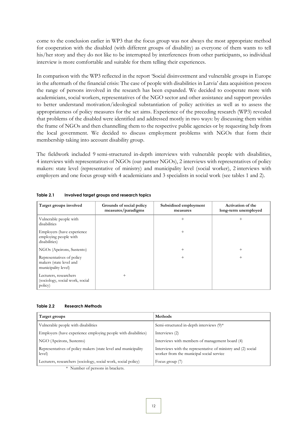come to the conclusion earlier in WP3 that the focus group was not always the most appropriate method for cooperation with the disabled (with different groups of disability) as everyone of them wants to tell his/her story and they do not like to be interrupted by interferences from other participants, so individual interview is more comfortable and suitable for them telling their experiences.

In comparison with the WP3 reflected in the report 'Social disinvestment and vulnerable groups in Europe in the aftermath of the financial crisis: The case of people with disabilities in Latvia' data acquisition process the range of persons involved in the research has been expanded. We decided to cooperate more with academicians, social workers, representatives of the NGO sector and other assistance and support provides to better understand motivation/ideological substantiation of policy activities as well as to assess the appropriateness of policy measures for the set aims. Experience of the preceding research (WP3) revealed that problems of the disabled were identified and addressed mostly in two ways: by discussing them within the frame of NGOs and then channelling them to the respective public agencies or by requesting help from the local government. We decided to discuss employment problems with NGOs that form their membership taking into account disability group.

The fieldwork included 9 semi-structured in-depth interviews with vulnerable people with disabilities, 4 interviews with representatives of NGOs (our partner NGOs), 2 interviews with representatives of policy makers: state level (representative of ministry) and municipality level (social worker), 2 interviews with employers and one focus group with 4 academicians and 3 specialists in social work (see tables 1 and 2).

| Target groups involved                                                      | Grounds of social policy<br>measures/paradigms | Subsidised employment<br>measures | Activation of the<br>long-term unemployed |
|-----------------------------------------------------------------------------|------------------------------------------------|-----------------------------------|-------------------------------------------|
| Vulnerable people with<br>disabilities                                      |                                                | $^{+}$                            | $^{+}$                                    |
| Employers (have experience<br>employing people with<br>disabilities)        |                                                | $^{+}$                            |                                           |
| NGOs (Apeirons, Sustento)                                                   |                                                | $^{+}$                            | $+$                                       |
| Representatives of policy<br>makers (state level and<br>municipality level) |                                                | $^{+}$                            | $^{+}$                                    |
| Lecturers, researchers<br>(sociology, social work, social<br>policy)        | $^{+}$                                         |                                   |                                           |

<span id="page-11-0"></span>**Table 2.1 Involved target groups and research topics**

#### <span id="page-11-1"></span>**Table 2.2 Research Methods**

| Target groups                                                            | Methods                                                                                                   |  |  |
|--------------------------------------------------------------------------|-----------------------------------------------------------------------------------------------------------|--|--|
| Vulnerable people with disabilities                                      | Semi-structured in-depth interviews (9)*                                                                  |  |  |
| Employers (have experience employing people with disabilities)           | Interviews (2)                                                                                            |  |  |
| NGO (Apeirons, Sustento)                                                 | Interviews with members of management board (4)                                                           |  |  |
| Representatives of policy makers (state level and municipality<br>level) | Interviews with the representative of ministry and (2) social<br>worker from the municipal social service |  |  |
| Lecturers, researchers (sociology, social work, social policy)           | Focus group $(7)$                                                                                         |  |  |
| * Number of persons in brackets.                                         |                                                                                                           |  |  |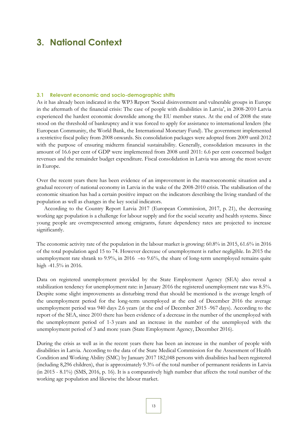## <span id="page-12-0"></span>**3. National Context**

#### <span id="page-12-1"></span>**3.1 Relevant economic and socio-demographic shifts**

As it has already been indicated in the WP3 Report 'Social disinvestment and vulnerable groups in Europe in the aftermath of the financial crisis: The case of people with disabilities in Latvia', in 2008-2010 Latvia experienced the hardest economic downslide among the EU member states. At the end of 2008 the state stood on the threshold of bankruptcy and it was forced to apply for assistance to international lenders (the European Community, the World Bank, the International Monetary Fund). The government implemented a restrictive fiscal policy from 2008 onwards. Six consolidation packages were adopted from 2009 until 2012 with the purpose of ensuring midterm financial sustainability. Generally, consolidation measures in the amount of 16.6 per cent of GDP were implemented from 2008 until 2011: 6.6 per cent concerned budget revenues and the remainder budget expenditure. Fiscal consolidation in Latvia was among the most severe in Europe.

Over the recent years there has been evidence of an improvement in the macroeconomic situation and a gradual recovery of national economy in Latvia in the wake of the 2008-2010 crisis. The stabilisation of the economic situation has had a certain positive impact on the indicators describing the living standard of the population as well as changes in the key social indicators.

According to the Country Report Latvia 2017 (European Commission, 2017, p. 21), the decreasing working age population is a challenge for labour supply and for the social security and health systems. Since young people are overrepresented among emigrants, future dependency rates are projected to increase significantly.

The economic activity rate of the population in the labour market is growing: 60.8% in 2015, 61.6% in 2016 of the total population aged 15 to 74. However decrease of unemployment is rather negligible. In 2015 the unemployment rate shrank to 9.9%, in 2016 –to 9.6%, the share of long-term unemployed remains quite high -41.5% in 2016.

Data on registered unemployment provided by the State Employment Agency (SEA) also reveal a stabilization tendency for unemployment rate: in January 2016 the registered unemployment rate was 8.5%. Despite some slight improvements as disturbing trend that should be mentioned is the average length of the unemployment period for the long-term unemployed at the end of December 2016 the average unemployment period was 940 days 2.6 years (at the end of December 2015 -967 days). According to the report of the SEA, since 2010 there has been evidence of a decrease in the number of the unemployed with the unemployment period of 1-3 years and an increase in the number of the unemployed with the unemployment period of 3 and more years (State Employment Agency, December 2016).

During the crisis as well as in the recent years there has been an increase in the number of people with disabilities in Latvia. According to the data of the State Medical Commission for the Assessment of Health Condition and Working Ability (SMC) by January 2017 182,048 persons with disabilities had been registered (including 8,296 children), that is approximately 9.3% of the total number of permanent residents in Latvia (in 2015 - 8.1%) (SMS, 2016, p. 16). It is a comparatively high number that affects the total number of the working age population and likewise the labour market.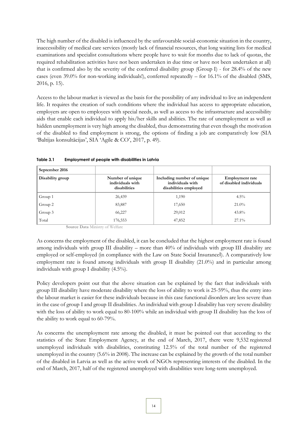The high number of the disabled is influenced by the unfavourable social-economic situation in the country, inaccessibility of medical care services (mostly lack of financial resources, that long waiting lists for medical examinations and specialist consultations where people have to wait for months due to lack of quotas, the required rehabilitation activities have not been undertaken in due time or have not been undertaken at all) that is confirmed also by the severity of the conferred disability group (Group I) - for 28.4% of the new cases (even 39.0% for non-working individuals!), conferred repeatedly – for 16.1% of the disabled (SMS, 2016, p. 15).

Access to the labour market is viewed as the basis for the possibility of any individual to live an independent life. It requires the creation of such conditions where the individual has access to appropriate education, employers are open to employees with special needs, as well as access to the infrastructure and accessibility aids that enable each individual to apply his/her skills and abilities. The rate of unemployment as well as hidden unemployment is very high among the disabled, thus demonstrating that even though the motivation of the disabled to find employment is strong, the options of finding a job are comparatively low (SIA 'Baltijas konsultācijas', SIA 'Agile & CO', 2017, p. 49).

| September 2016   |                                                      |                                                                         |                                                   |
|------------------|------------------------------------------------------|-------------------------------------------------------------------------|---------------------------------------------------|
| Disability group | Number of unique<br>individuals with<br>disabilities | Including number of unique<br>individuals with<br>disabilities employed | <b>Employment rate</b><br>of disabled individuals |
| Group 1          | 26,439                                               | 1,190                                                                   | $4.5\%$                                           |
| Group 2          | 83,887                                               | 17,650                                                                  | $21.0\%$                                          |
| Group 3          | 66,227                                               | 29,012                                                                  | $43.8\%$                                          |
| Total            | 176,553                                              | 47,852                                                                  | $27.1\%$                                          |

<span id="page-13-0"></span>**Table 3.1 Employment of people with disabilities in Latvia**

**Source Data** Ministry of Welfare

As concerns the employment of the disabled, it can be concluded that the highest employment rate is found among individuals with group III disability – more than 40% of individuals with group III disability are employed or self-employed (in compliance with the Law on State Social Insurancel). A comparatively low employment rate is found among individuals with group II disability (21.0%) and in particular among individuals with group I disability (4.5%).

Policy developers point out that the above situation can be explained by the fact that individuals with group III disability have moderate disability where the loss of ability to work is 25-59%, thus the entry into the labour market is easier for these individuals because in this case functional disorders are less severe than in the case of group I and group II disabilities. An individual with group I disability has very severe disability with the loss of ability to work equal to 80-100% while an individual with group II disability has the loss of the ability to work equal to 60-79%.

As concerns the unemployment rate among the disabled, it must be pointed out that according to the statistics of the State Employment Agency, at the end of March, 2017, there were 9,532 registered unemployed individuals with disabilities, constituting 12.5% of the total number of the registered unemployed in the country (5.6% in 2008). The increase can be explained by the growth of the total number of the disabled in Latvia as well as the active work of NGOs representing interests of the disabled. In the end of March, 2017, half of the registered unemployed with disabilities were long-term unemployed.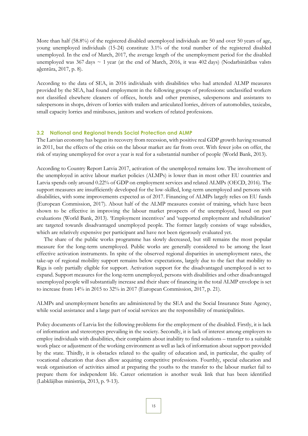More than half (58.8%) of the registered disabled unemployed individuals are 50 and over 50 years of age, young unemployed individuals (15-24) constitute 3.1% of the total number of the registered disabled unemployed. In the end of March, 2017, the average length of the unemployment period for the disabled unemployed was 367 days  $\sim$  1 year (at the end of March, 2016, it was 402 days) (Nodarbinātības valsts aģentūra, 2017, p. 8).

According to the data of SEA, in 2016 individuals with disabilities who had attended ALMP measures provided by the SEA, had found employment in the following groups of professions: unclassified workers not classified elsewhere cleaners of offices, hotels and other premises, salespersons and assistants to salespersons in shops, drivers of lorries with trailers and articulated lorries, drivers of automobiles, taxicabs, small capacity lorries and minibuses, janitors and workers of related professions.

#### <span id="page-14-0"></span>**3.2 National and Regional trends Social Protection and ALMP**

The Latvian economy has begun its recovery from recession, with positive real GDP growth having resumed in 2011, but the effects of the crisis on the labour market are far from over. With fewer jobs on offer, the risk of staying unemployed for over a year is real for a substantial number of people (World Bank, 2013).

According to Country Report Latvia 2017, activation of the unemployed remains low. The involvement of the unemployed in active labour market policies (ALMPs) is lower than in most other EU countries and Latvia spends only around 0.22% of GDP on employment services and related ALMPs (OECD, 2016). The support measures are insufficiently developed for the low-skilled, long-term unemployed and persons with disabilities, with some improvements expected as of 2017. Financing of ALMPs largely relies on EU funds (European Commission, 2017). About half of the ALMP measures consist of training, which have been shown to be effective in improving the labour market prospects of the unemployed, based on past evaluations (World Bank, 2013). 'Employment incentives' and 'supported employment and rehabilitation' are targeted towards disadvantaged unemployed people. The former largely consists of wage subsidies, which are relatively expensive per participant and have not been rigorously evaluated yet.

The share of the public works programme has slowly decreased, but still remains the most popular measure for the long-term unemployed. Public works are generally considered to be among the least effective activation instruments. In spite of the observed regional disparities in unemployment rates, the take-up of regional mobility support remains below expectations, largely due to the fact that mobility to Riga is only partially eligible for support. Activation support for the disadvantaged unemployed is set to expand. Support measures for the long-term unemployed, persons with disabilities and other disadvantaged unemployed people will substantially increase and their share of financing in the total ALMP envelope is set to increase from 14% in 2015 to 32% in 2017 (European Commission, 2017, p. 21).

ALMPs and unemployment benefits are administered by the SEA and the Social Insurance State Agency, while social assistance and a large part of social services are the responsibility of municipalities.

Policy documents of Latvia list the following problems for the employment of the disabled. Firstly, it is lack of information and stereotypes prevailing in the society. Secondly, it is lack of interest among employers to employ individuals with disabilities, their complaints about inability to find solutions – transfer to a suitable work place or adjustment of the working environment as well as lack of information about support provided by the state. Thirdly, it is obstacles related to the quality of education and, in particular, the quality of vocational education that does allow acquiring competitive professions. Fourthly, special education and weak organisation of activities aimed at preparing the youths to the transfer to the labour market fail to prepare them for independent life. Career orientation is another weak link that has been identified (Labklājības ministrija, 2013, p. 9-13).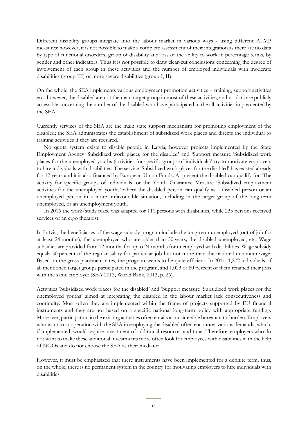Different disability groups integrate into the labour market in various ways - using different ALMP measures; however, it is not possible to make a complete assessment of their integration as there are no data by type of functional disorders, group of disability and loss of the ability to work in percentage terms, by gender and other indicators. Thus it is not possible to draw clear-cut conclusions concerning the degree of involvement of each group in these activities and the number of employed individuals with moderate disabilities (group III) or more severe disabilities (group I, II).

On the whole, the SEA implements various employment promotion activities – training, support activities etc.; however, the disabled are not the main target group in most of these activities, and no data are publicly accessible concerning the number of the disabled who have participated in the all activities implemented by the SEA.

Currently services of the SEA are the main state support mechanism for promoting employment of the disabled; the SEA administrates the establishment of subsidized work places and directs the individual to training activities if they are required.

No quota system exists to disable people in Latvia; however projects implemented by the State Employment Agency 'Subsidized work places for the disabled' and 'Support measure 'Subsidized work places for the unemployed youths (activities for specific groups of individuals)' try to motivate employers to hire individuals with disabilities. The service 'Subsidized work places for the disabled' has existed already for 12 years and it is also financed by European Union Funds. At present the disabled can qualify for 'The activity for specific groups of individuals' or the Youth Guarantee Measure 'Subsidized employment activities for the unemployed youths' where the disabled person can qualify as a disabled person or an unemployed person in a more unfavourable situation, including in the target group of the long-term unemployed, or an unemployment youth.

In 2016 the work/study place was adapted for 111 persons with disabilities, while 235 persons received services of an ergo therapist.

In Latvia, the beneficiaries of the wage subsidy program include the long-term unemployed (out of job for at least 24 months); the unemployed who are older than 50 years; the disabled unemployed, etc. Wage subsidies are provided from 12 months for up to 24 months for unemployed with disabilities. Wage subsidy equals 50 percent of the regular salary for particular job but not more than the national minimum wage. Based on the gross placement rates, the program seems to be quite efficient. In 2011, 1,272 individuals of all mentioned target groups participated in the program, and 1,023 or 80 percent of them retained their jobs with the same employer (SEA 2013, World Bank, 2013, p. 26).

Activities 'Subsidized work places for the disabled' and 'Support measure 'Subsidized work places for the unemployed youths' aimed at integrating the disabled in the labour market lack consecutiveness and continuity. Most often they are implemented within the frame of projects supported by EU financial instruments and they are not based on a specific national long-term policy with appropriate funding. Moreover, participation in the existing activities often entails a considerable bureaucratic burden. Employers who want to cooperation with the SEA in employing the disabled often encounter various demands, which, if implemented, would require investment of additional resources and time. Therefore, employers who do not want to make these additional investments more often look for employees with disabilities with the help of NGOs and do not choose the SEA as their mediator.

However, it must be emphasized that there instruments have been implemented for a definite term, thus, on the whole, there is no permanent system in the country for motivating employers to hire individuals with disabilities.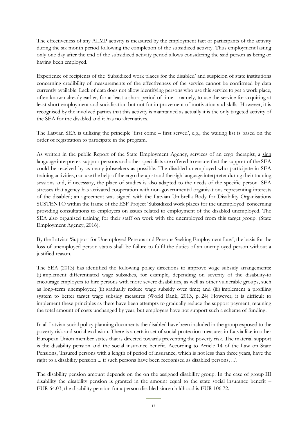The effectiveness of any ALMP activity is measured by the employment fact of participants of the activity during the six month period following the completion of the subsidized activity. Thus employment lasting only one day after the end of the subsidized activity period allows considering the said person as being or having been employed.

Experience of recipients of the 'Subsidized work places for the disabled' and suspicion of state institutions concerning credibility of measurements of the effectiveness of the service cannot be confirmed by data currently available. Lack of data does not allow identifying persons who use this service to get a work place, often known already earlier, for at least a short period of time – namely, to use the service for acquiring at least short-employment and socialisation but not for improvement of motivation and skills. However, it is recognised by the involved parties that this activity is maintained as actually it is the only targeted activity of the SEA for the disabled and it has no alternatives.

The Latvian SEA is utilizing the principle 'first come – first served', e.g., the waiting list is based on the order of registration to participate in the program.

As written in the public Report of the State Employment Agency, services of an ergo therapist, a sign [language interpreter,](javascript:goDic() support persons and other specialists are offered to ensure that the support of the SEA could be received by as many jobseekers as possible. The disabled unemployed who participate in SEA training activities, can use the help of the ergo therapist and the sigh language interpreter during their training sessions and, if necessary, the place of studies is also adapted to the needs of the specific person. SEA stresses that agency has activated cooperation with non-governmental organisations representing interests of the disabled; an agreement was signed with the Latvian Umbrella Body for Disability Organisations SUSTENTO within the frame of the ESF Project 'Subsidized work places for the unemployed' concerning providing consultations to employers on issues related to employment of the disabled unemployed. The SEA also organised training for their staff on work with the unemployed from this target group. (State Employment Agency, 2016).

By the Latvian 'Support for Unemployed Persons and Persons Seeking Employment Law', the basis for the loss of unemployed person status shall be failure to fulfil the duties of an unemployed person without a justified reason.

The SEA (2013) has identified the following policy directions to improve wage subsidy arrangements: (i) implement differentiated wage subsidies, for example, depending on severity of the disability-to encourage employers to hire persons with more severe disabilities, as well as other vulnerable groups, such as long-term unemployed; (ii) gradually reduce wage subsidy over time; and (iii) implement a profiling system to better target wage subsidy measures (World Bank, 2013, p. 24) However, it is difficult to implement these principles as there have been attempts to gradually reduce the support payment, retaining the total amount of costs unchanged by year, but employers have not support such a scheme of funding.

In all Latvian social policy planning documents the disabled have been included in the group exposed to the poverty risk and social exclusion. There is a certain set of social protection measures in Latvia like in other European Union member states that is directed towards preventing the poverty risk. The material support is the disability pension and the social insurance benefit. According to Article 14 of the Law on State Pensions, 'Insured persons with a length of period of insurance, which is not less than three years, have the right to a disability pension ... if such persons have been recognised as disabled persons, ...'.

The disability pension amount depends on the on the assigned disability group. In the case of group III disability the disability pension is granted in the amount equal to the state social insurance benefit – EUR 64.03, the disability pension for a person disabled since childhood is EUR 106.72.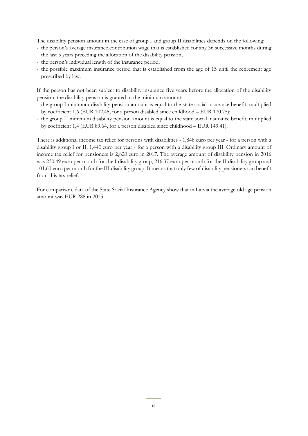The disability pension amount in the case of group I and group II disabilities depends on the following:

- the person's average insurance contribution wage that is established for any 36 successive months during the last 5 years preceding the allocation of the disability pension;
- the person's individual length of the insurance period;
- the possible maximum insurance period that is established from the age of 15 until the retirement age prescribed by law.

If the person has not been subject to disability insurance five years before the allocation of the disability pension, the disability pension is granted in the minimum amount:

- the group I minimum disability pension amount is equal to the state social insurance benefit, multiplied by coefficient 1,6 (EUR 102.45, for a person disabled since childhood – EUR 170.75);
- the group II minimum disability pension amount is equal to the state social insurance benefit, multiplied by coefficient 1,4 (EUR 89.64, for a person disabled since childhood – EUR 149.41).

There is additional income tax relief for persons with disabilities - 1,848 euro per year - for a person with a disability group I or II; 1,440 euro per year - for a person with a disability group III. Ordinary amount of income tax relief for pensioners is 2,820 euro in 2017. The average amount of disability pension in 2016 was 230.49 euro per month for the I disability group, 216.37 euro per month for the II disability group and 101.60 euro per month for the III disability group. It means that only few of disability pensioners can benefit from this tax relief.

For comparison, data of the State Social Insurance Agency show that in Latvia the average old age pension amount was EUR 288 in 2015.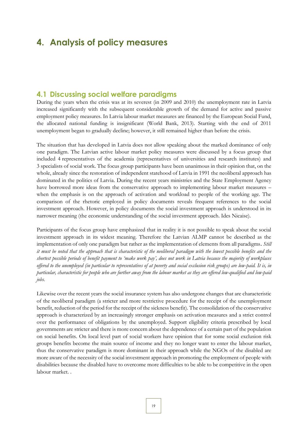## <span id="page-18-0"></span>**4. Analysis of policy measures**

## <span id="page-18-1"></span>**4.1 Discussing social welfare paradigms**

During the years when the crisis was at its severest (in 2009 and 2010) the unemployment rate in Latvia increased significantly with the subsequent considerable growth of the demand for active and passive employment policy measures. In Latvia labour market measures are financed by the European Social Fund, the allocated national funding is insignificant (World Bank, 2013). Starting with the end of 2011 unemployment began to gradually decline; however, it still remained higher than before the crisis.

The situation that has developed in Latvia does not allow speaking about the marked dominance of only one paradigm. The Latvian active labour market policy measures were discussed by a focus group that included 4 representatives of the academia (representatives of universities and research institutes) and 3 specialists of social work. The focus group participants have been unanimous in their opinion that, on the whole, already since the restoration of independent statehood of Latvia in 1991 the neoliberal approach has dominated in the politics of Latvia. During the recent years ministries and the State Employment Agency have borrowed more ideas from the conservative approach to implementing labour market measures – when the emphasis is on the approach of activation and workload to people of the working age. The comparison of the rhetoric employed in policy documents reveals frequent references to the social investment approach. However, in policy documents the social investment approach is understood in its narrower meaning (the economic understanding of the social investment approach. Ides Nicaise).

Participants of the focus group have emphasized that in reality it is not possible to speak about the social investment approach in its widest meaning. Therefore the Latvian ALMP cannot be described as the implementation of only one paradigm but rather as the implementation of elements from all paradigms. *Still it must be noted that the approach that is characteristic of the neoliberal paradigm with the lowest possible benefits and the shortest possible periods of benefit payment to 'make work pay', does not work in Latvia because the majority of workplaces offered to the unemployed (in particular to representatives of at poverty and social exclusion risk groups) are low-paid. It is, in particular, characteristic for people who are further away from the labour market as they are offered low-qualified and low-paid jobs.* 

Likewise over the recent years the social insurance system has also undergone changes that are characteristic of the neoliberal paradigm (a stricter and more restrictive procedure for the receipt of the unemployment benefit, reduction of the period for the receipt of the sickness benefit). The consolidation of the conservative approach is characterized by an increasingly stronger emphasis on activation measures and a strict control over the performance of obligations by the unemployed. Support eligibility criteria prescribed by local governments are stricter and there is more concern about the dependence of a certain part of the population on social benefits. On local level part of social workers have opinion that for some social exclusion risk groups benefits become the main source of income and they no longer want to enter the labour market, thus the conservative paradigm is more dominant in their approach while the NGOs of the disabled are more aware of the necessity of the social investment approach in promoting the employment of people with disabilities because the disabled have to overcome more difficulties to be able to be competitive in the open labour market. .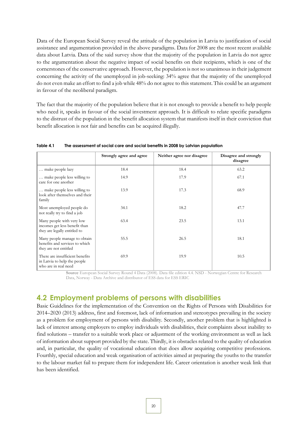Data of the European Social Survey reveal the attitude of the population in Latvia to justification of social assistance and argumentation provided in the above paradigms. Data for 2008 are the most recent available data about Latvia. Data of the said survey show that the majority of the population in Latvia do not agree to the argumentation about the negative impact of social benefits on their recipients, which is one of the cornerstones of the conservative approach. However, the population is not so unanimous in their judgement concerning the activity of the unemployed in job-seeking: 34% agree that the majority of the unemployed do not even make an effort to find a job while 48% do not agree to this statement. This could be an argument in favour of the neoliberal paradigm.

The fact that the majority of the population believe that it is not enough to provide a benefit to help people who need it, speaks in favour of the social investment approach. It is difficult to relate specific paradigms to the distrust of the population in the benefit allocation system that manifests itself in their conviction that benefit allocation is not fair and benefits can be acquired illegally.

|                                                                                            | Strongly agree and agree | Neither agree nor disagree | Disagree and strongly<br>disagree |
|--------------------------------------------------------------------------------------------|--------------------------|----------------------------|-----------------------------------|
| make people lazy                                                                           | 18.4                     | 18.4                       | 63.2                              |
| make people less willing to<br>care for one another                                        | 14.9                     | 17.9                       | 67.1                              |
| make people less willing to<br>look after themselves and their<br>family                   | 13.9                     | 17.3                       | 68.9                              |
| Most unemployed people do<br>not really try to find a job                                  | 34.1                     | 18.2                       | 47.7                              |
| Many people with very low<br>incomes get less benefit than<br>they are legally entitled to | 63.4                     | 23.5                       | 13.1                              |
| Many people manage to obtain<br>benefits and services to which<br>they are not entitled    | 55.5                     | 26.5                       | 18.1                              |
| There are insufficient benefits<br>in Latvia to help the people<br>who are in real need    | 69.9                     | 19.9                       | 10.5                              |

<span id="page-19-1"></span>**Table 4.1 The assessment of social care and social benefits in 2008 by Latvian population**

**Source** European Social Survey Round 4 Data (2008). Data file edition 4.4. NSD - Norwegian Centre for Research Data, Norway - Data Archive and distributor of ESS data for ESS ERIC

### <span id="page-19-0"></span>**4.2 Employment problems of persons with disabilities**

Basic Guidelines for the implementation of the Convention on the Rights of Persons with Disabilities for 2014–2020 (2013) address, first and foremost, lack of information and stereotypes prevailing in the society as a problem for employment of persons with disability. Secondly, another problem that is highlighted is lack of interest among employers to employ individuals with disabilities, their complaints about inability to find solutions – transfer to a suitable work place or adjustment of the working environment as well as lack of information about support provided by the state. Thirdly, it is obstacles related to the quality of education and, in particular, the quality of vocational education that does allow acquiring competitive professions. Fourthly, special education and weak organisation of activities aimed at preparing the youths to the transfer to the labour market fail to prepare them for independent life. Career orientation is another weak link that has been identified.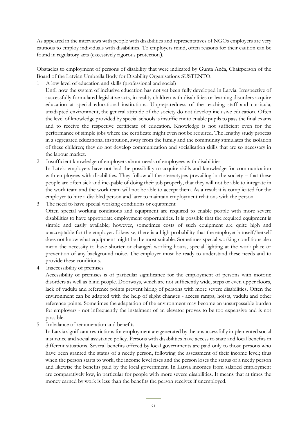As appeared in the interviews with people with disabilities and representatives of NGOs employers are very cautious to employ individuals with disabilities. To employers mind, often reasons for their caution can be found in regulatory acts (excessively rigorous protection).

Obstacles to employment of persons of disability that were indicated by Gunta Anča, Chairperson of the Board of the Latvian Umbrella Body for Disability Organisations SUSTENTO.

1 A low level of education and skills (professional and social)

Until now the system of inclusive education has not yet been fully developed in Latvia. Irrespective of successfully formulated legislative acts, in reality children with disabilities or learning disorders acquire education at special educational institutions. Unpreparedness of the teaching staff and curricula, unadapted environment, the general attitude of the society do not develop inclusive education. Often the level of knowledge provided by special schools is insufficient to enable pupils to pass the final exams and to receive the respective certificate of education. Knowledge is not sufficient even for the performance of simple jobs where the certificate might even not be required. The lengthy study process in a segregated educational institution, away from the family and the community stimulates the isolation of these children; they do not develop communication and socialisation skills that are so necessary in the labour market.

- 2 Insufficient knowledge of employers about needs of employees with disabilities In Latvia employers have not had the possibility to acquire skills and knowledge for communication with employees with disabilities. They follow all the stereotypes prevailing in the society – that these people are often sick and incapable of doing their job properly, that they will not be able to integrate in the work team and the work team will not be able to accept them. As a result it is complicated for the employer to hire a disabled person and later to maintain employment relations with the person.
- 3 The need to have special working conditions or equipment Often special working conditions and equipment are required to enable people with more severe disabilities to have appropriate employment opportunities. It is possible that the required equipment is simple and easily available; however, sometimes costs of such equipment are quite high and unacceptable for the employer. Likewise, there is a high probability that the employer himself/herself does not know what equipment might be the most suitable. Sometimes special working conditions also mean the necessity to have shorter or changed working hours, special lighting at the work place or prevention of any background noise. The employer must be ready to understand these needs and to provide these conditions.
- 4 Inaccessibility of premises

Accessibility of premises is of particular significance for the employment of persons with motoric disorders as well as blind people. Doorways, which are not sufficiently wide, steps or even upper floors, lack of vadulu and reference points prevent hiring of persons with more severe disabilities. Often the environment can be adapted with the help of slight changes - access ramps, hoists, vadulu and other reference points. Sometimes the adaptation of the environment may become an unsurpassable burden for employers - not infrequently the instalment of an elevator proves to be too expensive and is not possible.

5 Imbalance of remuneration and benefits

In Latvia significant restrictions for employment are generated by the unsuccessfully implemented social insurance and social assistance policy. Persons with disabilities have access to state and local benefits in different situations. Several benefits offered by local governments are paid only to those persons who have been granted the status of a needy person, following the assessment of their income level; thus when the person starts to work, the income level rises and the person loses the status of a needy person and likewise the benefits paid by the local government. In Latvia incomes from salaried employment are comparatively low, in particular for people with more severe disabilities. It means that at times the money earned by work is less than the benefits the person receives if unemployed.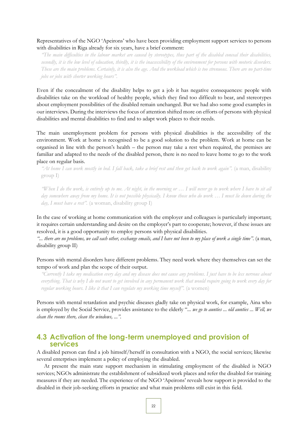### Representatives of the NGO 'Apeirons' who have been providing employment support services to persons with disabilities in Riga already for six years, have a brief comment:

*"The main difficulties in the labour market are caused by stereotypes, thus part of the disabled conceal their disabilities, secondly, it is the low level of education, thirdly, it is the inaccessibility of the environment for persons with motoric disorders. These are the main problems. Certainly, it is also the age. And the workload which is too strenuous. There are no part-time jobs or jobs with shorter working hours".* 

Even if the concealment of the disability helps to get a job it has negative consequences: people with disabilities take on the workload of healthy people, which they find too difficult to bear, and stereotypes about employment possibilities of the disabled remain unchanged. But we had also some good examples in our interviews. During the interviews the focus of attention shifted more on efforts of persons with physical disabilities and mental disabilities to find and to adapt work places to their needs.

The main unemployment problem for persons with physical disabilities is the accessibility of the environment. Work at home is recognised to be a good solution to the problem. Work at home can be organised in line with the person's health – the person may take a rest when required, the premises are familiar and adapted to the needs of the disabled person, there is no need to leave home to go to the work place on regular basis.

*"At home I can work mostly in bed. I fall back, take a brief rest and then get back to work again".* (a man, disability group I)

*"When I do the work, is entirely up to me. At night, in the morning or … I will never go to work where I have to sit all day somewhere away from my home. It is not possible physically. I know those who do work … I must lie down during the day, I must have a rest".* (a woman, disability group I)

In the case of working at home communication with the employer and colleagues is particularly important; it requires certain understanding and desire on the employer's part to cooperate; however, if these issues are resolved, it is a good opportunity to employ persons with physical disabilities.

*"... there are no problems, we call each other, exchange emails, and I have not been to my place of work a single time".* (a man, disability group II)

Persons with mental disorders have different problems. They need work where they themselves can set the tempo of work and plan the scope of their output.

*"Currently I take my medication every day and my disease does not cause any problems. I just have to be less nervous about everything. That is why I do not want to get involved in any permanent work that would require going to work every day for regular working hours. I like it that I can regulate my working time myself".* (a women)

Persons with mental retardation and psychic diseases gladly take on physical work, for example, Aina who is employed by the Social Service, provides assistance to the elderly "*... we go to aunties ... old aunties ... Well, we clean the rooms there, clean the windows, ...".*

## <span id="page-21-0"></span>**4.3 Activation of the long-term unemployed and provision of services**

A disabled person can find a job himself/herself in consultation with a NGO, the social services; likewise several enterprises implement a policy of employing the disabled.

At present the main state support mechanism in stimulating employment of the disabled is NGO services; NGOs administrate the establishment of subsidized work places and refer the disabled for training measures if they are needed. The experience of the NGO 'Apeirons' reveals how support is provided to the disabled in their job-seeking efforts in practice and what main problems still exist in this field.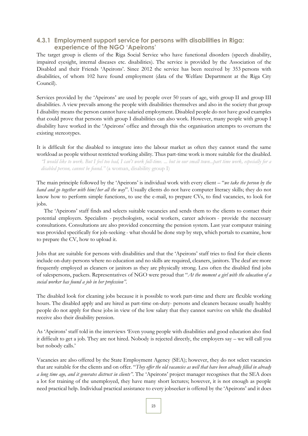### <span id="page-22-0"></span>**4.3.1 Employment support service for persons with disabilities in Riga: experience of the NGO 'Apeirons'**

The target group is clients of the Riga Social Service who have functional disorders (speech disability, impaired eyesight, internal diseases etc. disabilities). The service is provided by the Association of the Disabled and their Friends 'Apeirons'. Since 2012 the service has been received by 353 persons with disabilities, of whom 102 have found employment (data of the Welfare Department at the Riga City Council).

Services provided by the 'Apeirons' are used by people over 50 years of age, with group II and group III disabilities. A view prevails among the people with disabilities themselves and also in the society that group I disability means the person cannot have salaried employment. Disabled people do not have good examples that could prove that persons with group I disabilities can also work. However, many people with group I disability have worked in the 'Apeirons' office and through this the organisation attempts to overturn the existing stereotypes.

It is difficult for the disabled to integrate into the labour market as often they cannot stand the same workload as people without restricted working ability. Thus part-time work is more suitable for the disabled.

*"I would like to work. But I feel too bad, I can't work full-time. ... but in our small town...part time work, especially for a disabled person, cannot be found."* (a woman, disability group I)

The main principle followed by the 'Apeirons' is individual work with every client – "*we take the person by the hand and go together with him/her all the way*". Usually clients do not have computer literacy skills; they do not know how to perform simple functions, to use the e-mail, to prepare CVs, to find vacancies, to look for jobs.

The 'Apeirons' staff finds and selects suitable vacancies and sends them to the clients to contact their potential employers. Specialists - psychologists, social workers, career advisors - provide the necessary consultations. Consultations are also provided concerning the pension system. Last year computer training was provided specifically for job-seeking - what should be done step by step, which portals to examine, how to prepare the CV, how to upload it.

Jobs that are suitable for persons with disabilities and that the 'Apeirons' staff tries to find for their clients include on-duty-persons where no education and no skills are required, cleaners, janitors. The deaf are more frequently employed as cleaners or janitors as they are physically strong. Less often the disabled find jobs of salespersons, packers. Representatives of NGO were proud that "*At the moment a girl with the education of a social worker has found a job in her profession"*.

The disabled look for cleaning jobs because it is possible to work part-time and there are flexible working hours. The disabled apply and are hired as part-time on-duty- persons and cleaners because usually healthy people do not apply for these jobs in view of the low salary that they cannot survive on while the disabled receive also their disability pension.

As 'Apeirons' staff told in the interviews 'Even young people with disabilities and good education also find it difficult to get a job. They are not hired. Nobody is rejected directly, the employers say – we will call you but nobody calls.'

Vacancies are also offered by the State Employment Agency (SEA); however, they do not select vacancies that are suitable for the clients and on offer. "*They offer the old vacancies as well that have been already filled in already a long time ago, and it generates distrust in clients"*. The 'Apeirons' project manager recognises that the SEA does a lot for training of the unemployed, they have many short lectures; however, it is not enough as people need practical help. Individual practical assistance to every jobseeker is offered by the 'Apeirons' and it does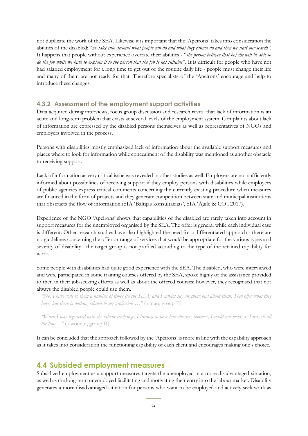not duplicate the work of the SEA. Likewise it is important that the 'Apeirons' takes into consideration the abilities of the disabled: "*we take into account what people can do and what they cannot do and then we start our search"*. It happens that people without experience overrate their abilities - "*the person believes that he/she will be able to do the job while we have to explain it to the person that the job is not suitable*". It is difficult for people who have not had salaried employment for a long time to get out of the routine daily life - people must change their life and many of them are not ready for that. Therefore specialists of the 'Apeirons' encourage and help to introduce these changes

### <span id="page-23-0"></span>**4.3.2 Assessment of the employment support activities**

Data acquired during interviews, focus group discussion and research reveal that lack of information is an acute and long-term problem that exists at several levels of the employment system. Complaints about lack of information are expressed by the disabled persons themselves as well as representatives of NGOs and employers involved in the process.

Persons with disabilities mostly emphasized lack of information about the available support measures and places where to look for information while concealment of the disability was mentioned as another obstacle to receiving support.

Lack of information as very critical issue was revealed in other studies as well. Employers are not sufficiently informed about possibilities of receiving support if they employ persons with disabilities while employees of public agencies express critical comments concerning the currently existing procedure when measures are financed in the form of projects and they generate competition between state and municipal institutions that obstructs the flow of information (SIA 'Baltijas konsultācijas', SIA 'Agile & CO', 2017).

Experience of the NGO 'Apeirons' shows that capabilities of the disabled are rarely taken into account in support measures for the unemployed organised by the SEA. The offer is general while each individual case is different. Other research studies have also highlighted the need for a differentiated approach - there are no guidelines concerning the offer or range of services that would be appropriate for the various types and severity of disability - the target group is not profiled according to the type of the retained capability for work.

Some people with disabilities had quite good experience with the SEA. The disabled, who were interviewed and were participated in some training courses offered by the SEA, spoke highly of the assistance provided to then in their job-seeking efforts as well as about the offered courses; however, they recognised that not always the disabled people could use them.

*"No, I have gone to them a number of times (to the SEA) and I cannot say anything bad about them. They offer what they have, but there is nothing related to my profession …"* (a man, group II)

*"When I was registered with the labour exchange, I trained to be a hair-dresser; however, I could not work as I was ill all the time ..."* (a woman, group II)

<span id="page-23-1"></span>It can be concluded that the approach followed by the 'Apeirons' is more in line with the capability approach as it takes into consideration the functioning capability of each client and encourages making one's choice.

### **4.4 Subsided employment measures**

Subsidized employment as a support measures targets the unemployed in a more disadvantaged situation, as well as the long-term unemployed facilitating and motivating their entry into the labour market. Disability generates a more disadvantaged situation for persons who want to be employed and actively seek work as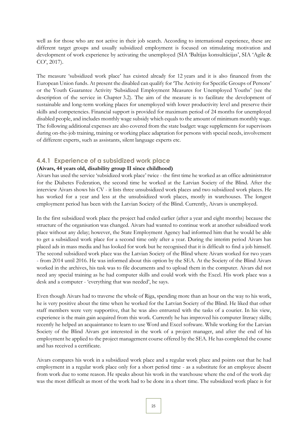well as for those who are not active in their job search. According to international experience, these are different target groups and usually subsidized employment is focused on stimulating motivation and development of work experience by activating the unemployed (SIA 'Baltijas konsultācijas', SIA 'Agile & CO', 2017).

The measure 'subsidized work place' has existed already for 12 years and it is also financed from the European Union funds. At present the disabled can qualify for 'The Activity for Specific Groups of Persons' or the Youth Guarantee Activity 'Subsidized Employment Measures for Unemployed Youths' (see the description of the service in Chapter 3.2). The aim of the measure is to facilitate the development of sustainable and long-term working places for unemployed with lower productivity level and preserve their skills and competencies. Financial support is provided for maximum period of 24 months for unemployed disabled people, and includes monthly wage subsidy which equals to the amount of minimum monthly wage. The following additional expenses are also covered from the state budget: wage supplements for supervisors during on-the-job training, training or working place adaptation for persons with special needs, involvement of different experts, such as assistants, silent language experts etc.

### <span id="page-24-0"></span>**4.4.1 Experience of a subsidized work place**

#### **(Aivars, 44 years old, disability group II since childhood)**

Aivars has used the service 'subsidized work place' twice - the first time he worked as an office administrator for the Diabetes Federation, the second time he worked at the Latvian Society of the Blind. After the interview Aivars shows his CV - it lists three unsubsidized work places and two subsidized work places. He has worked for a year and less at the unsubsidized work places, mostly in warehouses. The longest employment period has been with the Latvian Society of the Blind. Currently, Aivars is unemployed.

In the first subsidized work place the project had ended earlier (after a year and eight months) because the structure of the organisation was changed. Aivars had wanted to continue work at another subsidized work place without any delay; however, the State Employment Agency had informed him that he would be able to get a subsidized work place for a second time only after a year. During the interim period Aivars has placed ads in mass media and has looked for work but he recognised that it is difficult to find a job himself. The second subsidized work place was the Latvian Society of the Blind where Aivars worked for two years - from 2014 until 2016. He was informed about this option by the SEA. At the Society of the Blind Aivars worked in the archives, his task was to file documents and to upload them in the computer. Aivars did not need any special training as he had computer skills and could work with the Excel. His work place was a desk and a computer - 'everything that was needed', he says.

Even though Aivars had to traverse the whole of Riga, spending more than an hour on the way to his work, he is very positive about the time when he worked for the Latvian Society of the Blind. He liked that other staff members were very supportive, that he was also entrusted with the tasks of a courier. In his view, experience is the main gain acquired from this work. Currently he has improved his computer literacy skills; recently he helped an acquaintance to learn to use Word and Excel software. While working for the Latvian Society of the Blind Aivars got interested in the work of a project manager, and after the end of his employment he applied to the project management course offered by the SEA. He has completed the course and has received a certificate.

Aivars compares his work in a subsidized work place and a regular work place and points out that he had employment in a regular work place only for a short period time - as a substitute for an employee absent from work due to some reason. He speaks about his work in the warehouse where the end of the work day was the most difficult as most of the work had to be done in a short time. The subsidized work place is for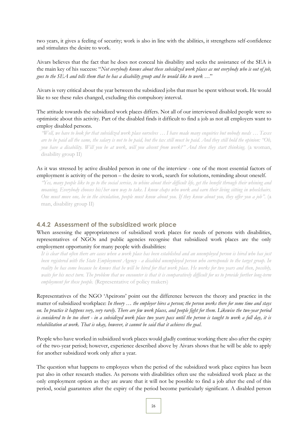two years, it gives a feeling of security; work is also in line with the abilities, it strengthens self-confidence and stimulates the desire to work.

Aivars believes that the fact that he does not conceal his disability and seeks the assistance of the SEA is the main key of his success: "*Not everybody knows about these subsidized work places as not everybody who is out of job, goes to the SEA and tells them that he has a disability group and he would like to work …*"

Aivars is very critical about the year between the subsidized jobs that must be spent without work. He would like to see these rules changed, excluding this compulsory interval.

The attitude towards the subsidized work places differs. Not all of our interviewed disabled people were so optimistic about this activity. Part of the disabled finds it difficult to find a job as not all employers want to employ disabled persons.

*"Well, we have to look for that subsidized work place ourselves … I have made many enquiries but nobody needs … Taxes are to be paid all the same, the salary is not to be paid, but the tax still must be paid. And they still hold the opinion: "Oh, you have a disability. Will you be at work, will you absent from work?" And then they start thinking.* (a woman, disability group II)

As it was stressed by active disabled person in one of the interview - one of the most essential factors of employment is activity of the person – the desire to work, search for solutions, reminding about oneself.

*"Yes, many people like to go to the social service, to whine about their difficult life, get the benefit through their whining and moaning. Everybody chooses his/her own way to take. I know chaps who work and earn their living sitting in wheelchairs. One must move one, be in the circulation, people must know about you. If they know about you, they offer you a job".* (a man, disability group II)

### <span id="page-25-0"></span>**4.4.2 Assessment of the subsidized work place**

When assessing the appropriateness of subsidized work places for needs of persons with disabilities, representatives of NGOs and public agencies recognise that subsidized work places are the only employment opportunity for many people with disabilities:

*It is clear that often there are cases when a work place has been established and an unemployed person is hired who has just been registered with the State Employment Agency - a disabled unemployed person who corresponds to the target group. In reality he has come because he knows that he will be hired for that work place. He works for two years and then, possibly, waits for his next turn. The problem that we encounter is that it is comparatively difficult for us to provide further long-term employment for these people.* (Representative of policy makers)

Representatives of the NGO 'Apeirons' point out the difference between the theory and practice in the matter of subsidized workplace: *In theory … the employer hires a person; the person works there for some time and stays on. In practice it happens very, very rarely. There are few work places, and people fight for them. Likewise the two-year period is considered to be too short - in a subsidized work place two years pass until the person is taught to work a full day, it is rehabilitation at work. That is okay, however, it cannot be said that it achieves the goal*.

People who have worked in subsidized work places would gladly continue working there also after the expiry of the two-year period; however, experience described above by Aivars shows that he will be able to apply for another subsidized work only after a year.

The question what happens to employees when the period of the subsidized work place expires has been put also in other research studies. As persons with disabilities often use the subsidized work place as the only employment option as they are aware that it will not be possible to find a job after the end of this period, social guarantees after the expiry of the period become particularly significant. A disabled person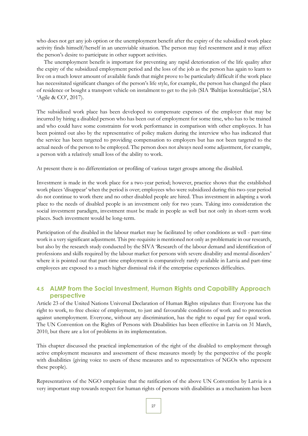who does not get any job option or the unemployment benefit after the expiry of the subsidized work place activity finds himself/herself in an unenviable situation. The person may feel resentment and it may affect the person's desire to participate in other support activities.

The unemployment benefit is important for preventing any rapid deterioration of the life quality after the expiry of the subsidized employment period and the loss of the job as the person has again to learn to live on a much lower amount of available funds that might prove to be particularly difficult if the work place has necessitated significant changes of the person's life style, for example, the person has changed the place of residence or bought a transport vehicle on instalment to get to the job (SIA 'Baltijas konsultācijas', SIA 'Agile & CO', 2017).

The subsidized work place has been developed to compensate expenses of the employer that may be incurred by hiring a disabled person who has been out of employment for some time, who has to be trained and who could have some constraints for work performance in comparison with other employees. It has been pointed out also by the representative of policy makers during the interview who has indicated that the service has been targeted to providing compensation to employers but has not been targeted to the actual needs of the person to be employed. The person does not always need some adjustment, for example, a person with a relatively small loss of the ability to work.

At present there is no differentiation or profiling of various target groups among the disabled.

Investment is made in the work place for a two-year period; however, practice shows that the established work places 'disappear' when the period is over; employees who were subsidized during this two-year period do not continue to work there and no other disabled people are hired. Thus investment in adapting a work place to the needs of disabled people is an investment only for two years. Taking into consideration the social investment paradigm, investment must be made in people as well but not only in short-term work places. Such investment would be long-term.

Participation of the disabled in the labour market may be facilitated by other conditions as well - part-time work is a very significant adjustment. This pre-requisite is mentioned not only as problematic in our research, but also by the research study conducted by the SIVA 'Research of the labour demand and identification of professions and skills required by the labour market for persons with severe disability and mental disorders' where it is pointed out that part-time employment is comparatively rarely available in Latvia and part-time employees are exposed to a much higher dismissal risk if the enterprise experiences difficulties.

### <span id="page-26-0"></span>**4.5 ALMP from the Social Investment, Human Rights and Capability Approach perspective**

Article 23 of the United Nations Universal Declaration of Human Rights stipulates that: Everyone has the right to work, to free choice of employment, to just and favourable conditions of work and to protection against unemployment. Everyone, without any discrimination, has the right to equal pay for equal work. The UN Convention on the Rights of Persons with Disabilities has been effective in Latvia on 31 March, 2010, but there are a lot of problems in its implementation.

This chapter discussed the practical implementation of the right of the disabled to employment through active employment measures and assessment of these measures mostly by the perspective of the people with disabilities (giving voice to users of these measures and to representatives of NGOs who represent these people).

Representatives of the NGO emphasize that the ratification of the above UN Convention by Latvia is a very important step towards respect for human rights of persons with disabilities as a mechanism has been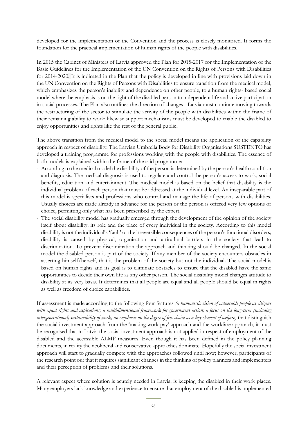developed for the implementation of the Convention and the process is closely monitored. It forms the foundation for the practical implementation of human rights of the people with disabilities.

In 2015 the Cabinet of Ministers of Latvia approved the Plan for 2015-2017 for the Implementation of the Basic Guidelines for the Implementation of the UN Convention on the Rights of Persons with Disabilities for 2014-2020. It is indicated in the Plan that the policy is developed in line with provisions laid down in the UN Convention on the Rights of Persons with Disabilities to ensure transition from the medical model, which emphasizes the person's inability and dependence on other people, to a human rights- based social model where the emphasis is on the right of the disabled person to independent life and active participation in social processes. The Plan also outlines the direction of changes - Latvia must continue moving towards the restructuring of the sector to stimulate the activity of the people with disabilities within the frame of their remaining ability to work; likewise support mechanisms must be developed to enable the disabled to enjoy opportunities and rights like the rest of the general public**.**

The above transition from the medical model to the social model means the application of the capability approach in respect of disability. The Latvian Umbrella Body for Disability Organisations SUSTENTO has developed a training programme for professions working with the people with disabilities. The essence of both models is explained within the frame of the said programme:

- According to the medical model the disability of the person is determined by the person's health condition and diagnosis. The medical diagnosis is used to regulate and control the person's access to work, social benefits, education and entertainment. The medical model is based on the belief that disability is the individual problem of each person that must be addressed at the individual level. An inseparable part of this model is specialists and professions who control and manage the life of persons with disabilities. Usually choices are made already in advance for the person or the person is offered very few options of choice, permitting only what has been prescribed by the expert.
- The social disability model has gradually emerged through the development of the opinion of the society itself about disability, its role and the place of every individual in the society. According to this model disability is not the individual's 'fault' or the irreversible consequences of the person's functional disorders; disability is caused by physical, organisation and attitudinal barriers in the society that lead to discrimination. To prevent discrimination the approach and thinking should be changed. In the social model the disabled person is part of the society. If any member of the society encounters obstacles in asserting himself/herself, that is the problem of the society but not the individual. The social model is based on human rights and its goal is to eliminate obstacles to ensure that the disabled have the same opportunities to decide their own life as any other person. The social disability model changes attitude to disability at its very basis. It determines that all people are equal and all people should be equal in rights as well as freedom of choice capabilities.

If assessment is made according to the following four features *(a humanistic vision of vulnerable people as citizens with equal rights and aspirations; a multidimensional framework for government action; a focus on the long-term (including intergenerational) sustainability of work; an emphasis on the degree of free choice as a key element of welfare)* that distinguish the social investment approach from the 'making work pay' approach and the workfare approach, it must be recognised that in Latvia the social investment approach is not applied in respect of employment of the disabled and the accessible ALMP measures. Even though it has been defined in the policy planning documents, in reality the neoliberal and conservative approaches dominate. Hopefully the social investment approach will start to gradually compete with the approaches followed until now; however, participants of the research point out that it requires significant changes in the thinking of policy planners and implementers and their perception of problems and their solutions.

A relevant aspect where solution is acutely needed in Latvia, is keeping the disabled in their work places. Many employers lack knowledge and experience to ensure that employment of the disabled is implemented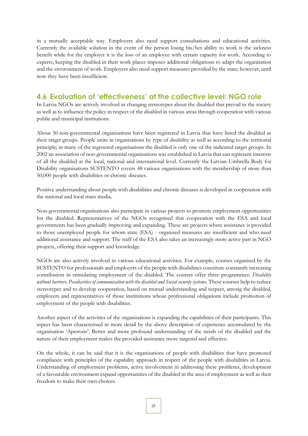in a mutually acceptable way. Employers also need support consultations and educational activities. Currently the available solution in the event of the person losing his/her ability to work is the sickness benefit while for the employer it is the loss of an employee with certain capacity for work. According to experts, keeping the disabled in their work places imposes additional obligations to adapt the organisation and the environment of work. Employers also need support measures provided by the state; however, until now they have been insufficient.

## <span id="page-28-0"></span>**4.6 Evaluation of 'effectiveness' at the collective level: NGO role**

In Latvia NGOs are actively involved in changing stereotypes about the disabled that prevail in the society as well as to influence the policy in respect of the disabled in various areas through cooperation with various public and municipal institutions.

About 50 non-governmental organisations have been registered in Latvia that have listed the disabled as their target groups. People unite in organisations by type of disability as well as according to the territorial principle; in many of the registered organisations the disabled is only one of the indicated target groups. In 2002 an association of non-governmental organisations was established in Latvia that can represent interests of all the disabled at the local, national and international level. Currently the Latvian Umbrella Body for Disability organisations SUSTENTO covers 48 various organisations with the membership of more than 50,000 people with disabilities or chronic diseases.

Positive understanding about people with disabilities and chronic diseases is developed in cooperation with the national and local mass media.

Non-governmental organisations also participate in various projects to promote employment opportunities for the disabled. Representatives of the NGOs recognised that cooperation with the ESA and local governments has been gradually improving and expanding. These are projects where assistance is provided to those unemployed people for whom state (ESA) - organised measures are insufficient and who need additional assistance and support. The staff of the ESA also takes an increasingly more active part in NGO projects, offering their support and knowledge.

NGOs are also actively involved in various educational activities. For example, courses organised by the SUSTENTO for professionals and employers of the people with disabilities constitute constantly increasing contribution in stimulating employment of the disabled. The courses offer three programmes: *Disability*  without barriers, Peculiarities of communication with the disabled and Social security systems. These courses help to reduce stereotypes and to develop cooperation, based on mutual understanding and respect, among the disabled, employers and representatives of those institutions whose professional obligations include promotion of employment of the people with disabilities.

Another aspect of the activities of the organisations is expanding the capabilities of their participants. This aspect has been characterised in more detail by the above description of experience accumulated by the organisation 'Apeirons'. Better and more profound understanding of the needs of the disabled and the nature of their employment makes the provided assistance more targeted and effective.

On the whole, it can be said that it is the organisations of people with disabilities that have promoted compliance with principles of the capability approach in respect of the people with disabilities in Latvia. Understanding of employment problems, active involvement in addressing these problems, development of a favourable environment expand opportunities of the disabled in the area of employment as well as their freedom to make their own choices.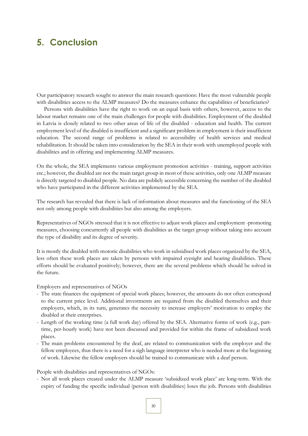## <span id="page-29-0"></span>**5. Conclusion**

Our participatory research sought to answer the main research questions: Have the most vulnerable people with disabilities access to the ALMP measures? Do the measures enhance the capabilities of beneficiaries?

Persons with disabilities have the right to work on an equal basis with others, however, access to the labour market remains one of the main challenges for people with disabilities. Employment of the disabled in Latvia is closely related to two other areas of life of the disabled - education and health. The current employment level of the disabled is insufficient and a significant problem in employment is their insufficient education. The second range of problems is related to accessibility of health services and medical rehabilitation. It should be taken into consideration by the SEA in their work with unemployed people with disabilities and in offering and implementing ALMP measures.

On the whole, the SEA implements various employment promotion activities - training, support activities etc.; however, the disabled are not the main target group in most of these activities, only one ALMP measure is directly targeted to disabled people. No data are publicly accessible concerning the number of the disabled who have participated in the different activities implemented by the SEA.

The research has revealed that there is lack of information about measures and the functioning of the SEA not only among people with disabilities but also among the employers.

Representatives of NGOs stressed that it is not effective to adjust work places and employment -promoting measures, choosing concurrently all people with disabilities as the target group without taking into account the type of disability and its degree of severity.

It is mostly the disabled with motoric disabilities who work in subsidised work places organized by the SEA, less often these work places are taken by persons with impaired eyesight and hearing disabilities. These efforts should be evaluated positively; however, there are the several problems which should be solved in the future.

#### Employers and representatives of NGOs

- The state finances the equipment of special work places; however, the amounts do not often correspond to the current price level. Additional investments are required from the disabled themselves and their employers, which, in its turn, generates the necessity to increase employers' motivation to employ the disabled at their enterprises.
- Length of the working time (a full work day) offered by the SEA. Alternative forms of work (e.g., parttime, per-hourly work) have not been discussed and provided for within the frame of subsidized work places.
- The main problems encountered by the deaf, are related to communication with the employer and the fellow employees, thus there is a need for a sigh language interpreter who is needed more at the beginning of work. Likewise the fellow employers should be trained to communicate with a deaf person.

People with disabilities and representatives of NGOs:

- Not all work places created under the ALMP measure 'subsidized work place' are long-term. With the expiry of funding the specific individual (person with disabilities) loses the job. Persons with disabilities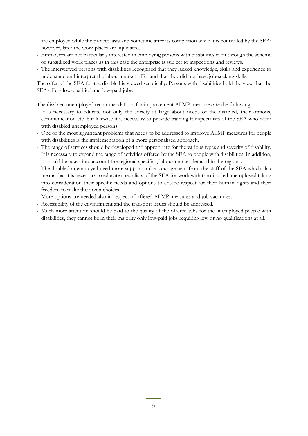are employed while the project lasts and sometime after its completion while it is controlled by the SEA; however, later the work places are liquidated.

- Employers are not particularly interested in employing persons with disabilities even through the scheme of subsidized work places as in this case the enterprise is subject to inspections and reviews.
- The interviewed persons with disabilities recognised that they lacked knowledge, skills and experience to understand and interpret the labour market offer and that they did not have job-seeking skills.

The offer of the SEA for the disabled is viewed sceptically. Persons with disabilities hold the view that the SEA offers low-qualified and low-paid jobs.

The disabled unemployed recommendations for improvement ALMP measures are the following:

- It is necessary to educate not only the society at large about needs of the disabled, their options, communication etc. but likewise it is necessary to provide training for specialists of the SEA who work with disabled unemployed persons.
- One of the most significant problems that needs to be addressed to improve ALMP measures for people with disabilities is the implementation of a more personalised approach.
- The range of services should be developed and appropriate for the various types and severity of disability. It is necessary to expand the range of activities offered by the SEA to people with disabilities. In addition, it should be taken into account the regional specifics, labour market demand in the regions.
- The disabled unemployed need more support and encouragement from the staff of the SEA which also means that it is necessary to educate specialists of the SEA for work with the disabled unemployed taking into consideration their specific needs and options to ensure respect for their human rights and their freedom to make their own choices.
- More options are needed also in respect of offered ALMP measures and job vacancies.
- Accessibility of the environment and the transport issues should be addressed.
- Much more attention should be paid to the quality of the offered jobs for the unemployed people with disabilities, they cannot be in their majority only low-paid jobs requiring low or no qualifications at all.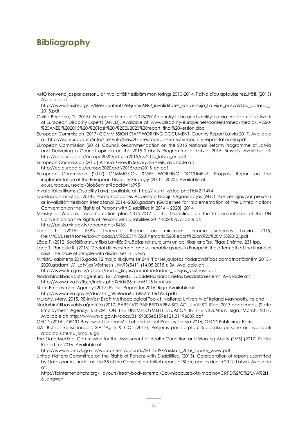## <span id="page-31-0"></span>**Bibliography**

ANO konvencijas par personu ar invaliditāti tiesībām monitorings 2010-2014. Pašvaldību aptaujas rezultāti. (2015) Available at:

http://www.tiesibsargs.lv/files/content/Petijumi/ANO\_invaliditates\_konvencija\_Latvijas\_pasvaldibu\_aptauja\_ 2015.pdf

Calite-Bordane, D. (2015). European Semester 2015/2016 country fiche on disability: Latvia. Academic Network of European Disability Experts (ANED). Available at: www.disability-europe.net/content/aned/media/LV%20- %20ANED%202015%20-%20Task%20-%20EU2020%20report\_final%20version.doc

European Commission (2017) COMMISSION STAFF WORKING DOCUMENT. Country Report Latvia 2017. Available at: http://ec.europa.eu/info/sites/info/files/2017-european-semester-country-report-latvia-en.pdf

European Commission (2016), Council Recommendation on the 2015 National Reform Programme of Latvia and Delivering a Council opinion on the 2015 Stability Programme of Latvia, 2015, Brussels. Available at: http://ec.europa.eu/europe2020/pdf/csr2015/csr2015\_latvia\_en.pdf

European Commission (2015) Annual Growth Survey, Brussels, available at:

http://ec.europa.eu/europe2020/pdf/2015/ags2015\_en.pdf

European Commission (2017) COMMISSION STAFF WORKING DOCUMENT. Progress Report on the implementation of the European Disability Strategy (2010 - 2020). Available at:

ec.europa.eu/social/BlobServlet?docId=16995

Invaliditātes likums (Disability Law), available at: http://likumi.lv/doc.php?id=211494

Labklājības ministrija (2014), Pamatnostādnes Apvienoto Nāciju Organizācijas (ANO) Konvencijas par personu ar invaliditāti tiesībām īstenošanai 2014.-2020.gadam (Guidelines for Implementation of the United Nations Convention on the Rights of Persons with Disabilities in 2014 – 2020), 2014

Ministry of Welfare, Implementation plan 2015-2017 of the Guidelines on the Implementation of the UN Convention on the Rights of Persons with Disabilities 2014-2020; available at: http://polsis.mk.gov.lv/documents/5436

Lace T. (2015) ESPN Thematic Report on minimum income schemes Latvia 2015, file:///C:/Users/Home/Downloads/LV%20ESPN%20Thematic%20Report%20on%20%20MIS%20(2).pdf

Lāce T. (2012) Sociālā atstumtība Latvijā: Situācijas raksturojums un politikas analīze. Rīga: Zinātne, 231 lpp.

Lace T., Rungule R. (2016) 'Social disinvestment and vulnerable groups in Europe in the aftermath of the financial crisis: The case of people with disabilities in Latvia'

Ministru kabineta 2015.gada 12.maija rīkojums Nr.244 'Par Iekļaujošas nodarbinātības pamatnostādnēm 2015.- 2020.gadam' // 'Latvijas Vēstnesis', Nr.93(5411)(14.05.2015.): 34. Available at:

http://www.lm.gov.lv/upload/darba\_tirgus/pamatnostadnes\_latvijas\_vestnesis.pdf

Nodarbinātības valsts aģentūra. ESF projekts "Subsidētās darbavietas bezdarbniekiem'. Available at: http://www.nva.lv/flash/index.php?cid=2&mid=511&txt=4146

State Employment Agency (2017) Public Report for 2016. Riga Available at:

http://www.nva.gov.lv/docs/31\_5959eaa6dfb832.91064953.pdf)

Murphy, Mary, 2015, RE-InVest Draft Methodological Toolkit, National University of Ireland Maynooth, Ireland

Nodarbinātības valsts aģentūra (2017) PĀRSKATS PAR BEZDARBA SITUĀCIJU VALSTĪ. Rīga. 2017.gada marts, (State Employment Agency. REPORT ON THE UNEMPLOYMENT SITUATION IN THE COUNTRY. Riga, March, 2017. Available at: http://www.nva.gov.lv/docs/31\_59085e5159e121.31196089.pdf

OECD (2016), OECD Reviews of Labour Market and Social Policies: Latvia 2016, OECD Publishing, Paris.

SIA 'Baltijas konsultācijas', SIA 'Agile & CO' (2017), Pētījums par starptautisko praksi personu ar invaliditāti atbalsta sistēmu jomā, Rīga.

The State Medical Commission for the Assessment of Health Condition and Working Ability (SMS) (2017) Public Report for 2016. Available at:

http://www.vdeavk.gov.lv/wp-content/uploads/2014/09/Parskats\_2016\_1.puse\_www.pdf

United Nations Committee on the Rights of Persons with Disabilities. (2015). Consideration of reports submitted by States parties under article 35 of the Convention: Initial reports of State parties due in 2012: Latvia. Available at:

http://tbinternet.ohchr.org/\_layouts/treatybodyexternal/Download.aspx?symbolno=CRPD%2fC%2fLVA%2f1 &Lang=en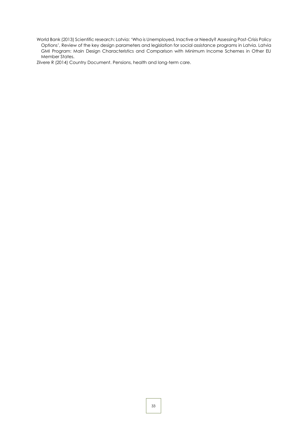World Bank (2013) Scientific research: Latvia: 'Who is Unemployed, Inactive or Needy? Assessing Post-Crisis Policy Options', Review of the key design parameters and legislation for social assistance programs in Latvia. Latvia GMI Program: Main Design Characteristics and Comparison with Minimum Income Schemes in Other EU Member States.

Zilvere R (2014) Country Document. Pensions, health and long-term care.